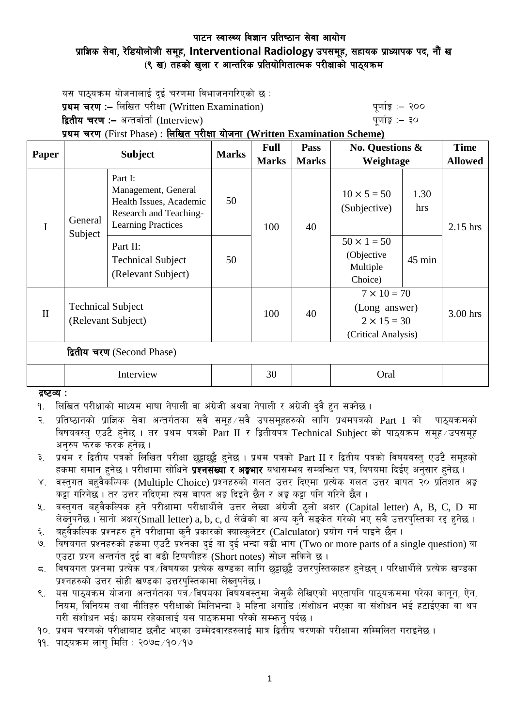## पाटन स्वास्थ्य विज्ञान प्रतिष्ठान सेवा आयोग प्राज्ञिक सेवा, रेडियोलोजी समूह, Interventional Radiology उपसमूह, सहायक प्राध्यापक पद, नौं ख (९ ख) तहको खुला र आन्तरिक प्रतियोगितात्मक परीक्षाको पाठ्यक्रम

यस पाठयक्रम योजनालाई दई चरणमा विभाजनगरिएको छ : **प्रथम चरण :–** लिखित परीक्षा (Written Examination) k" b" while a "quing" :– २०० द्वितीय चरण :– अन्तर्वार्ता (Interview) katalactic metal metal which we have the set of  $\mathbf{q}$ 

## प्रथम चरण (First Phase) : लिखित परीक्षा योजना (Written Examination Scheme)

| Paper                      | <b>Subject</b>                                 |                                                                                                                  | <b>Marks</b> | <b>Full</b>  | Pass         | <b>No. Questions &amp;</b><br>Weightage                                          |             | <b>Time</b>    |
|----------------------------|------------------------------------------------|------------------------------------------------------------------------------------------------------------------|--------------|--------------|--------------|----------------------------------------------------------------------------------|-------------|----------------|
|                            |                                                |                                                                                                                  |              | <b>Marks</b> | <b>Marks</b> |                                                                                  |             | <b>Allowed</b> |
| $\mathbf I$                | General<br>Subject                             | Part I:<br>Management, General<br>Health Issues, Academic<br>Research and Teaching-<br><b>Learning Practices</b> | 50           | 100          | 40           | $10 \times 5 = 50$<br>(Subjective)                                               | 1.30<br>hrs | $2.15$ hrs     |
|                            |                                                | Part II:<br><b>Technical Subject</b><br>(Relevant Subject)                                                       | 50           |              |              | $50 \times 1 = 50$<br>(Objective<br>Multiple<br>Choice)                          | 45 min      |                |
| $\mathbf{I}$               | <b>Technical Subject</b><br>(Relevant Subject) |                                                                                                                  |              | 100          | 40           | $7 \times 10 = 70$<br>(Long answer)<br>$2 \times 15 = 30$<br>(Critical Analysis) |             | 3.00 hrs       |
| द्वितीय चरण (Second Phase) |                                                |                                                                                                                  |              |              |              |                                                                                  |             |                |
|                            | Interview                                      |                                                                                                                  |              | 30           |              | Oral                                                                             |             |                |

 $g$   $g$   $g$   $\sim$   $g$   $\sim$   $g$   $\sim$   $g$ 

<u>9. लिखित परीक्षाको माध्यम भाषा नेपाली वा अंग्रेजी अथवा नेपाली र अंग्रेजी दुवै हुन सक्नेछ ।</u>

२. प्रतिष्ठानको प्राज्ञिक सेवा अन्तर्गतका सवै समूह सवै उपसमूहहरुको लागि प्रथमपत्रको  $\operatorname{Part}$  I को पाठ्यक्रमको विषयवस्तु एउटै हुनेछ । तर प्रथम पत्रको Part II र द्वितीयपत्र Technical Subject को पाठयक्रम समह उपसमह अनुरुप फरक फरक हुनेछ ।

३. प्रथम र द्वितीय पत्रको लिखित परीक्षा छट्टाछट्टै हनेछ । प्रथम पत्रको Part II र द्वितीय पत्रको विषयवस्त् एउटै समूहको हकमा समान हुनेछ । परीक्षामा सोधिने **प्रश्नसंख्या र अङ्गभार** यथासम्भव सम्बन्धित पत्र, विषयमा दिईए अनुसार हुनेछ ।

- ४. वस्तुगत बहुवैकस्पिक (Multiple Choice) प्रश्नहरुको गलत उत्तर दिएमा प्रत्येक गलत उत्तर बापत २० प्रतिशत अङ्क कट्टा गरिनेछ । तर उत्तर नदिएमा त्यस बापत अङ्ग दिइने छैन र अङ्ग कट्टा पनि गरिने छैन ।
- $\,$ ४. वस्तुगत बहुवैकल्पिक हुने परीक्षामा परीक्षार्थीले उत्तर लेख्दा अंग्रेजी ठुलो अक्षर (Capital letter) A, B, C, D मा लेख्नुपर्नेछ । सानो अक्षर(Small letter) a, b, c, d लेखेको वा अन्य कुनै सङ्केत गरेको भए सबै उत्तरपुस्तिका रद्द हुनेछ ।
- ६. बहुवैकल्पिक प्रश्नहरु हुने परीक्षामा कुनै प्रकारको क्याल्कुलेटर (Calculator) प्रयोग गर्न पाइने छैन ।
- ७. विषयगत प्रश्नहरुको हकमा एउटै प्रश्नका दुई वा दुई भन्दा बढी भाग (Two or more parts of a single question) वा एउटा प्रश्न अन्तर्गत दई वा बढी टिप्पणीहरु (Short notes) सोध्न सकिने छ।
- $\,$ द. विषयगत प्रश्नमा प्रत्येक पत्र विषयका प्रत्येक खण्डका लागि छुट्टाछुट्टै उत्तरपुस्तिकाहरु हुनेछन् । परिक्षार्थीले प्रत्येक खण्डका प्रश्नहरुको उत्तर सोही खण्डका उत्तरपस्तिकामा लेख्नुपर्नेछ ।
- ९. यस पाठयक्रम योजना अन्तर्गतका पत्रे विषयका विषयवस्तमा जेसकै लेखिएको भएतापनि पाठयक्रममा परेका कानन, ऐन, नियम, विनियम तथा नीतिहरु परीक्षाको मितिभन्दा ३ महिना अगाडि (संशोधन भएका वा संशोधन भई हटाईएका वा थप गरी संशोधन भई) कायम रहेकालाई यस पाठुकममा परेको सम्भन् पर्दछ ।

<u>१०. प्रथम चरणको परीक्षाबाट छनौट भएका उम्मेदवारहरुलाई मात्र द्वितीय चरणको परीक्षामा सम्मिलित गराइनेछ ।</u>

११. पाठुयक्रम लाग मिति : २०७८ ⁄१० ⁄१७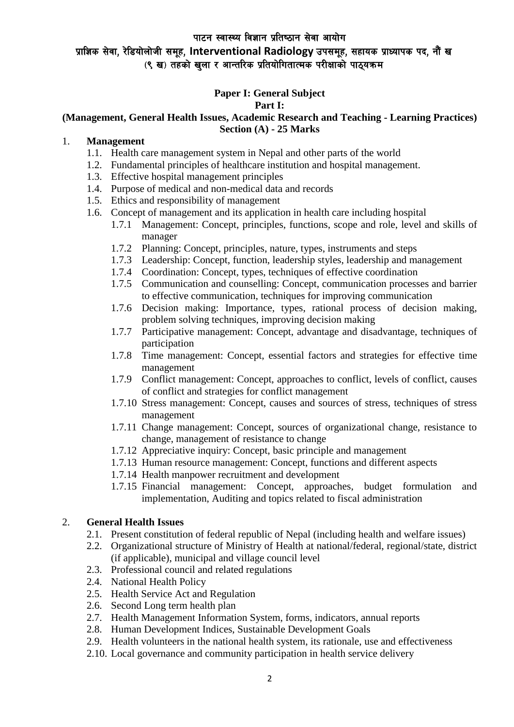# प्राज्ञिक सेवा, रेडियोलोजी समूह, Interventional Radiology उपसमूह, सहायक प्राध्यापक पद, नौं ख (९ ख) तहको खला र आन्तरिक प्रतियोगितात्मक परीक्षाको पाठयक्रम

# **Paper I: General Subject**

### **Part I:**

### **(Management, General Health Issues, Academic Research and Teaching - Learning Practices) Section (A) - 25 Marks**

### 1. **Management**

- 1.1. Health care management system in Nepal and other parts of the world
- 1.2. Fundamental principles of healthcare institution and hospital management.
- 1.3. Effective hospital management principles
- 1.4. Purpose of medical and non-medical data and records
- 1.5. Ethics and responsibility of management
- 1.6. Concept of management and its application in health care including hospital
	- 1.7.1 Management: Concept, principles, functions, scope and role, level and skills of manager
	- 1.7.2 Planning: Concept, principles, nature, types, instruments and steps
	- 1.7.3 Leadership: Concept, function, leadership styles, leadership and management
	- 1.7.4 Coordination: Concept, types, techniques of effective coordination
	- 1.7.5 Communication and counselling: Concept, communication processes and barrier to effective communication, techniques for improving communication
	- 1.7.6 Decision making: Importance, types, rational process of decision making, problem solving techniques, improving decision making
	- 1.7.7 Participative management: Concept, advantage and disadvantage, techniques of participation
	- 1.7.8 Time management: Concept, essential factors and strategies for effective time management
	- 1.7.9 Conflict management: Concept, approaches to conflict, levels of conflict, causes of conflict and strategies for conflict management
	- 1.7.10 Stress management: Concept, causes and sources of stress, techniques of stress management
	- 1.7.11 Change management: Concept, sources of organizational change, resistance to change, management of resistance to change
	- 1.7.12 Appreciative inquiry: Concept, basic principle and management
	- 1.7.13 Human resource management: Concept, functions and different aspects
	- 1.7.14 Health manpower recruitment and development
	- 1.7.15 Financial management: Concept, approaches, budget formulation and implementation, Auditing and topics related to fiscal administration

### 2. **General Health Issues**

- 2.1. Present constitution of federal republic of Nepal (including health and welfare issues)
- 2.2. Organizational structure of Ministry of Health at national/federal, regional/state, district (if applicable), municipal and village council level
- 2.3. Professional council and related regulations
- 2.4. National Health Policy
- 2.5. Health Service Act and Regulation
- 2.6. Second Long term health plan
- 2.7. Health Management Information System, forms, indicators, annual reports
- 2.8. Human Development Indices, Sustainable Development Goals
- 2.9. Health volunteers in the national health system, its rationale, use and effectiveness
- 2.10. Local governance and community participation in health service delivery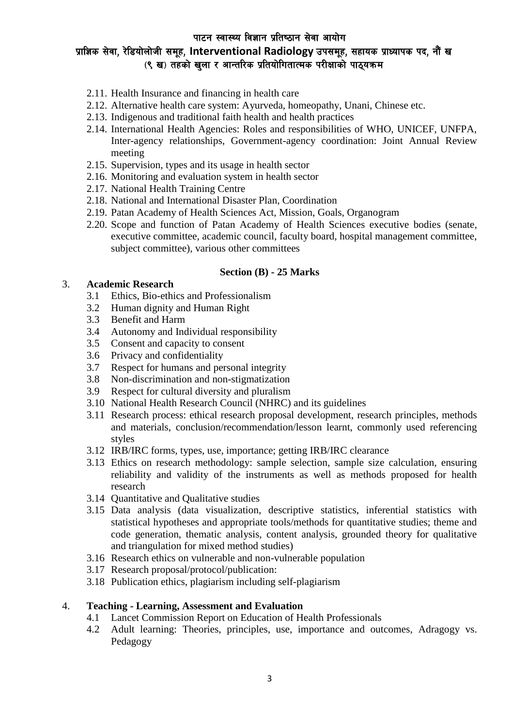# प्राज्ञिक सेवा, रेडियोलोजी समूह, Interventional Radiology उपसमूह, सहायक प्राध्यापक पद, नौं ख (९ ख) तहको खला र आन्तरिक प्रतियोगितात्मक परीक्षाको पाठयक्रम

- 2.11. Health Insurance and financing in health care
- 2.12. Alternative health care system: Ayurveda, homeopathy, Unani, Chinese etc.
- 2.13. Indigenous and traditional faith health and health practices
- 2.14. International Health Agencies: Roles and responsibilities of WHO, UNICEF, UNFPA, Inter-agency relationships, Government-agency coordination: Joint Annual Review meeting
- 2.15. Supervision, types and its usage in health sector
- 2.16. Monitoring and evaluation system in health sector
- 2.17. National Health Training Centre
- 2.18. National and International Disaster Plan, Coordination
- 2.19. Patan Academy of Health Sciences Act, Mission, Goals, Organogram
- 2.20. Scope and function of Patan Academy of Health Sciences executive bodies (senate, executive committee, academic council, faculty board, hospital management committee, subject committee), various other committees

#### **Section (B) - 25 Marks**

#### 3. **Academic Research**

- 3.1 Ethics, Bio-ethics and Professionalism
- 3.2 Human dignity and Human Right
- 3.3 Benefit and Harm
- 3.4 Autonomy and Individual responsibility
- 3.5 Consent and capacity to consent
- 3.6 Privacy and confidentiality
- 3.7 Respect for humans and personal integrity
- 3.8 Non-discrimination and non-stigmatization
- 3.9 Respect for cultural diversity and pluralism
- 3.10 National Health Research Council (NHRC) and its guidelines
- 3.11 Research process: ethical research proposal development, research principles, methods and materials, conclusion/recommendation/lesson learnt, commonly used referencing styles
- 3.12 IRB/IRC forms, types, use, importance; getting IRB/IRC clearance
- 3.13 Ethics on research methodology: sample selection, sample size calculation, ensuring reliability and validity of the instruments as well as methods proposed for health research
- 3.14 Quantitative and Qualitative studies
- 3.15 Data analysis (data visualization, descriptive statistics, inferential statistics with statistical hypotheses and appropriate tools/methods for quantitative studies; theme and code generation, thematic analysis, content analysis, grounded theory for qualitative and triangulation for mixed method studies)
- 3.16 Research ethics on vulnerable and non-vulnerable population
- 3.17 Research proposal/protocol/publication:
- 3.18 Publication ethics, plagiarism including self-plagiarism

### 4. **Teaching - Learning, Assessment and Evaluation**

- 4.1 Lancet Commission Report on Education of Health Professionals
- 4.2 Adult learning: Theories, principles, use, importance and outcomes, Adragogy vs. Pedagogy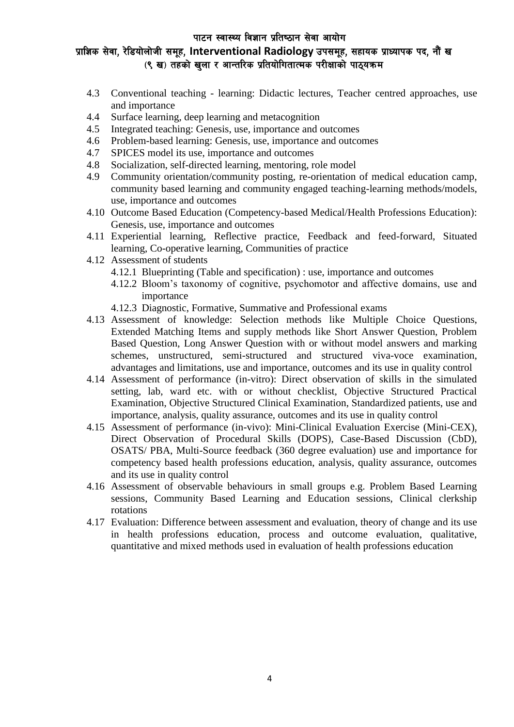# प्राज्ञिक सेवा, रेडियोलोजी समूह, Interventional Radiology उपसमूह, सहायक प्राध्यापक पद, नौं ख (९ ख) तहको खला र आन्तरिक प्रतियोगितात्मक परीक्षाको पाठयक्रम

- 4.3 Conventional teaching learning: Didactic lectures, Teacher centred approaches, use and importance
- 4.4 Surface learning, deep learning and metacognition
- 4.5 Integrated teaching: Genesis, use, importance and outcomes
- 4.6 Problem-based learning: Genesis, use, importance and outcomes
- 4.7 SPICES model its use, importance and outcomes
- 4.8 Socialization, self-directed learning, mentoring, role model
- 4.9 Community orientation/community posting, re-orientation of medical education camp, community based learning and community engaged teaching-learning methods/models, use, importance and outcomes
- 4.10 Outcome Based Education (Competency-based Medical/Health Professions Education): Genesis, use, importance and outcomes
- 4.11 Experiential learning, Reflective practice, Feedback and feed-forward, Situated learning, Co-operative learning, Communities of practice
- 4.12 Assessment of students
	- 4.12.1 Blueprinting (Table and specification) : use, importance and outcomes
	- 4.12.2 Bloom's taxonomy of cognitive, psychomotor and affective domains, use and importance
	- 4.12.3 Diagnostic, Formative, Summative and Professional exams
- 4.13 Assessment of knowledge: Selection methods like Multiple Choice Questions, Extended Matching Items and supply methods like Short Answer Question, Problem Based Question, Long Answer Question with or without model answers and marking schemes, unstructured, semi-structured and structured viva-voce examination, advantages and limitations, use and importance, outcomes and its use in quality control
- 4.14 Assessment of performance (in-vitro): Direct observation of skills in the simulated setting, lab, ward etc. with or without checklist, Objective Structured Practical Examination, Objective Structured Clinical Examination, Standardized patients, use and importance, analysis, quality assurance, outcomes and its use in quality control
- 4.15 Assessment of performance (in-vivo): Mini-Clinical Evaluation Exercise (Mini-CEX), Direct Observation of Procedural Skills (DOPS), Case-Based Discussion (CbD), OSATS/ PBA, Multi-Source feedback (360 degree evaluation) use and importance for competency based health professions education, analysis, quality assurance, outcomes and its use in quality control
- 4.16 Assessment of observable behaviours in small groups e.g. Problem Based Learning sessions, Community Based Learning and Education sessions, Clinical clerkship rotations
- 4.17 Evaluation: Difference between assessment and evaluation, theory of change and its use in health professions education, process and outcome evaluation, qualitative, quantitative and mixed methods used in evaluation of health professions education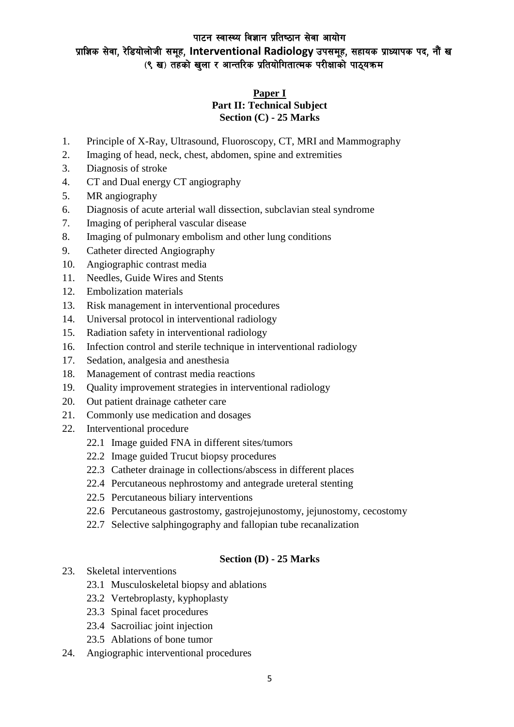## पाटन स्वास्थ्य विज्ञान प्रतिष्ठान सेवा आयोग प्राज्ञिक सेवा, रेडियोलोजी समूह, Interventional Radiology उपसमूह, सहायक प्राध्यापक पद, नौं ख (९ ख) तहको खुला र आन्तरिक प्रतियोगितात्मक परीक्षाको पाठ्यक्रम

### **Paper I Part II: Technical Subject Section (C) - 25 Marks**

- 1. Principle of X-Ray, Ultrasound, Fluoroscopy, CT, MRI and Mammography
- 2. Imaging of head, neck, chest, abdomen, spine and extremities
- 3. Diagnosis of stroke
- 4. CT and Dual energy CT angiography
- 5. MR angiography
- 6. Diagnosis of acute arterial wall dissection, subclavian steal syndrome
- 7. Imaging of peripheral vascular disease
- 8. Imaging of pulmonary embolism and other lung conditions
- 9. Catheter directed Angiography
- 10. Angiographic contrast media
- 11. Needles, Guide Wires and Stents
- 12. Embolization materials
- 13. Risk management in interventional procedures
- 14. Universal protocol in interventional radiology
- 15. Radiation safety in interventional radiology
- 16. Infection control and sterile technique in interventional radiology
- 17. Sedation, analgesia and anesthesia
- 18. Management of contrast media reactions
- 19. Quality improvement strategies in interventional radiology
- 20. Out patient drainage catheter care
- 21. Commonly use medication and dosages
- 22. Interventional procedure
	- 22.1 Image guided FNA in different sites/tumors
	- 22.2 Image guided Trucut biopsy procedures
	- 22.3 Catheter drainage in collections/abscess in different places
	- 22.4 Percutaneous nephrostomy and antegrade ureteral stenting
	- 22.5 Percutaneous biliary interventions
	- 22.6 Percutaneous gastrostomy, gastrojejunostomy, jejunostomy, cecostomy
	- 22.7 Selective salphingography and fallopian tube recanalization

#### **Section (D) - 25 Marks**

- 23. Skeletal interventions
	- 23.1 Musculoskeletal biopsy and ablations
	- 23.2 Vertebroplasty, kyphoplasty
	- 23.3 Spinal facet procedures
	- 23.4 Sacroiliac joint injection
	- 23.5 Ablations of bone tumor
- 24. Angiographic interventional procedures